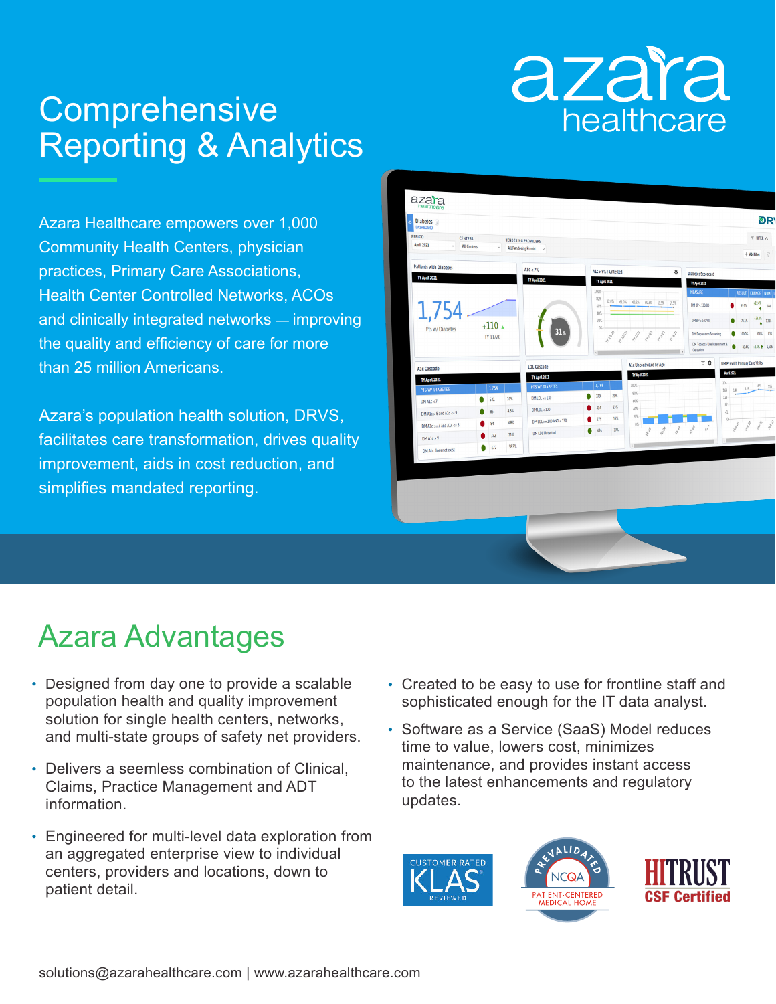# azara healthcare

## **Comprehensive** Reporting & Analytics

Azara Healthcare empowers over 1,000 Community Health Centers, physician practices, Primary Care Associations, Health Center Controlled Networks, ACOs and clinically integrated networks — improving the quality and efficiency of care for more than 25 million Americans.

Azara's population health solution, DRVS, facilitates care transformation, drives quality improvement, aids in cost reduction, and simplifies mandated reporting.



### Azara Advantages

- Designed from day one to provide a scalable population health and quality improvement solution for single health centers, networks, and multi-state groups of safety net providers.
- Delivers a seemless combination of Clinical, Claims, Practice Management and ADT information.
- Engineered for multi-level data exploration from an aggregated enterprise view to individual centers, providers and locations, down to patient detail.
- Created to be easy to use for frontline staff and sophisticated enough for the IT data analyst.
- Software as a Service (SaaS) Model reduces time to value, lowers cost, minimizes maintenance, and provides instant access to the latest enhancements and regulatory updates.